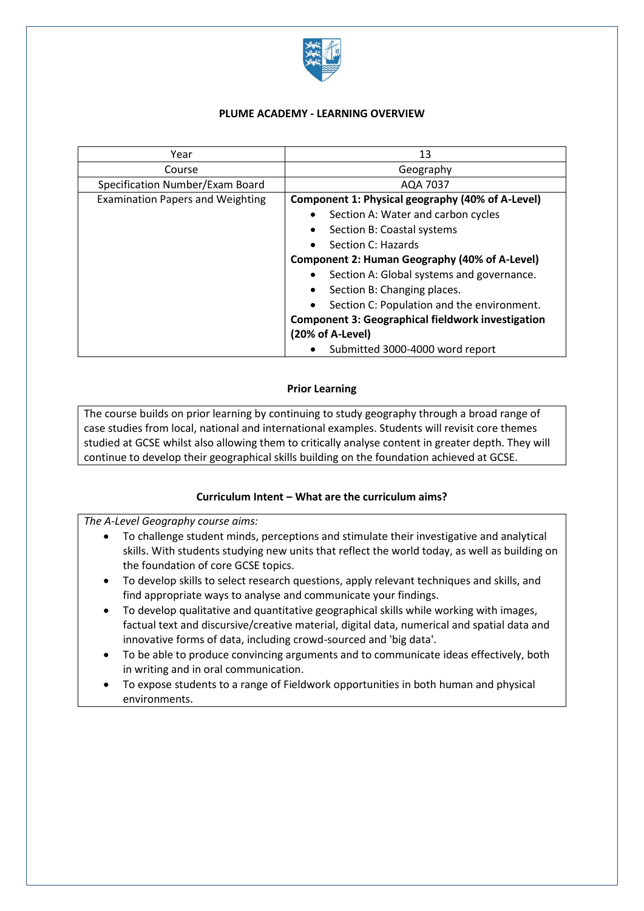

## **PLUME ACADEMY - LEARNING OVERVIEW**

| Year                                    | 13                                                       |
|-----------------------------------------|----------------------------------------------------------|
| Course                                  | Geography                                                |
| Specification Number/Exam Board         | AQA 7037                                                 |
| <b>Examination Papers and Weighting</b> | Component 1: Physical geography (40% of A-Level)         |
|                                         | Section A: Water and carbon cycles                       |
|                                         | Section B: Coastal systems                               |
|                                         | Section C: Hazards                                       |
|                                         | <b>Component 2: Human Geography (40% of A-Level)</b>     |
|                                         | Section A: Global systems and governance.                |
|                                         | Section B: Changing places.                              |
|                                         | Section C: Population and the environment.               |
|                                         | <b>Component 3: Geographical fieldwork investigation</b> |
|                                         | (20% of A-Level)                                         |
|                                         | Submitted 3000-4000 word report                          |

## **Prior Learning**

The course builds on prior learning by continuing to study geography through a broad range of case studies from local, national and international examples. Students will revisit core themes studied at GCSE whilst also allowing them to critically analyse content in greater depth. They will continue to develop their geographical skills building on the foundation achieved at GCSE.

## **Curriculum Intent – What are the curriculum aims?**

*The A-Level Geography course aims:*

- To challenge student minds, perceptions and stimulate their investigative and analytical skills. With students studying new units that reflect the world today, as well as building on the foundation of core GCSE topics.
- To develop skills to select research questions, apply relevant techniques and skills, and find appropriate ways to analyse and communicate your findings.
- To develop qualitative and quantitative geographical skills while working with images, factual text and discursive/creative material, digital data, numerical and spatial data and innovative forms of data, including crowd-sourced and 'big data'.
- To be able to produce convincing arguments and to communicate ideas effectively, both in writing and in oral communication.
- To expose students to a range of Fieldwork opportunities in both human and physical environments.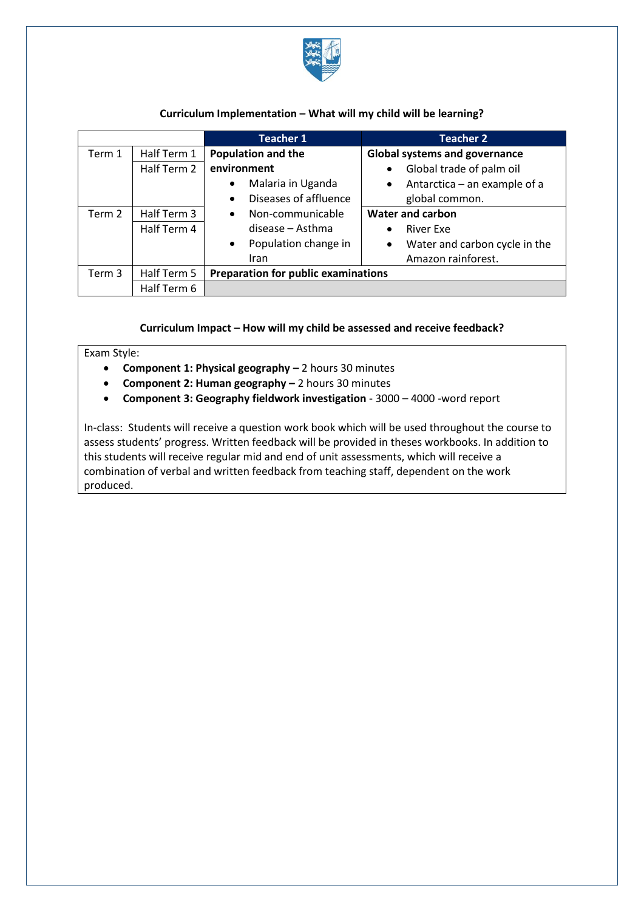

## **Curriculum Implementation – What will my child will be learning?**

|        |             | <b>Teacher 1</b>                           | <b>Teacher 2</b>                           |
|--------|-------------|--------------------------------------------|--------------------------------------------|
| Term 1 | Half Term 1 | <b>Population and the</b>                  | <b>Global systems and governance</b>       |
|        | Half Term 2 | environment                                | Global trade of palm oil<br>$\bullet$      |
|        |             | Malaria in Uganda<br>$\bullet$             | Antarctica – an example of a<br>$\bullet$  |
|        |             | Diseases of affluence<br>$\bullet$         | global common.                             |
| Term 2 | Half Term 3 | Non-communicable<br>$\bullet$              | Water and carbon                           |
|        | Half Term 4 | disease - Asthma                           | <b>River Exe</b><br>$\bullet$              |
|        |             | Population change in<br>$\bullet$          | Water and carbon cycle in the<br>$\bullet$ |
|        |             | Iran                                       | Amazon rainforest.                         |
| Term 3 | Half Term 5 | <b>Preparation for public examinations</b> |                                            |
|        | Half Term 6 |                                            |                                            |

## **Curriculum Impact – How will my child be assessed and receive feedback?**

## Exam Style:

- **Component 1: Physical geography –** 2 hours 30 minutes
- **Component 2: Human geography –** 2 hours 30 minutes
- **Component 3: Geography fieldwork investigation**  3000 4000 -word report

In-class: Students will receive a question work book which will be used throughout the course to assess students' progress. Written feedback will be provided in theses workbooks. In addition to this students will receive regular mid and end of unit assessments, which will receive a combination of verbal and written feedback from teaching staff, dependent on the work produced.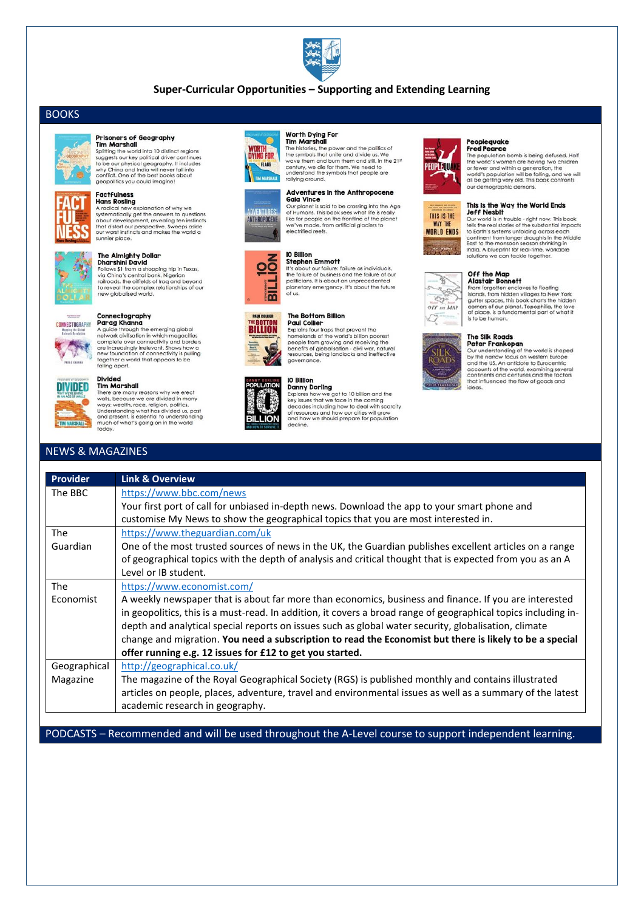

## Super-Curricular Opportunities - Supporting and Extending Learning

# **BOOKS**



#### **Prisoners of Geography Tim Marshall**

**EIM MATSNOIL**<br>Splitting the world into 10 distinct regions<br>suggests our key political driver continues<br>to be our physical geography. It includes<br>why China and India will never fall into<br>conflict. One of the best books abo geopolitics you could imagine!



### **Factfulness Hans Rosling**

**Hans Kossing**<br>A radical new explanation of why we<br>systematically get the answers to questions<br>about development, revealing ten instincts<br>that distort our perspective. Sweeps aside<br>our worst instincts and makes the world a sunnier place.



#### The Almighty Dollar **Dharshini David**

**DIGITS DESTAIN DAVIDENT STATE STATE STATE STATE STATE OF STATE STATE STATE STATE STATE STATE STATE STATE STATE STATE STATE STATE STATE STATE STATE STATE STATE STATE STATE STATE STATE STATE STATE STATE STATE STATE STATE ST** 



#### Connectography Parag Khanna

**Parag Khanna**<br>A guide through the emerging global<br>network civilisation in which megacities<br>complete over connectivity and borders<br>are increasingly irrelevant. Shows how a<br>new foundation of connectivity is pulling together a world that appears to be<br>falling apart.

### **Divided**



Tim Marshall **IIm MaTShall**<br>There are many reasons why we erect<br>wols!, because we are divided in many<br>ways: wealth, race, religion, politics.<br>Understanding what has divided us, past<br>and present, is essential to understanding<br>much of wh today.

# **NEWS & MAGAZINES**

#### Worth Dying For **Tim Marshall**

**Tim Marshall**<br>The histories, the power and the politics of<br>the symbols that unite and divide us. We<br>wave them and burn them and still, in the 21<sup>s</sup><br>century, we die for them. We need to<br>understand the symbols that people a

# **Adventures in the Anthropocene**

Adventures in the Anthropocene<br>
Gala Vince<br>
Corplanet is said to be crossing into the Age<br>
of Humans. This book sees what life is really<br>
like for people on the frontline of the planet<br>
we've made, from artificial glaciers electrified reefs.

Stephen Emmot<br>
the should our failure is failure as individuals,<br>
the failure of business and the failure of our<br>
politicians. It is about an unprecedented<br>
planetary emergency. It's about the future



 $\epsilon$ 

**WORTH**<br>DYING FOR

TIM MARSHA

**ADVENTURES:** 

ANTHROPOCENE

FLABS



**The Bottom Billion Paul Collier** Explains four trans that prevent the Explains four traps inary prevent the<br>homelands of the world's billion poorest<br>people from growing and receiving the<br>benefits of globalisation - civil war, natural<br>resources, being landlocks and ineffective governance.

of us

IO Billion

Stephen Emmott

### IO Billion



**Danny Dorling**<br> **Danny Dorling**<br>
Explores how we got to 10 billion and the<br>
key issues that we face in the coming<br>
decades including how to deal with scarcity<br>
of resources and how our clities will grow<br>
and how we should



# Peoplequake<br>Fred Pearce

The population bomb is being defused. Half<br>the world's women are having two children or fewer and within a generation, the world's population will be falling, and we will<br>all be getting very old. This book confronts our demographic demons.

### This is the Way the World Ends

THIS IS THE **WAY THE WORLD ENDS** 

The World Entra<br>
Just Press to the world Entra<br>
Cur world is in trouble - right now. This book<br>
tells the real stories of the substantial impacts<br>
to Earth's systems unfolding across each continent from longer droughts in the Middle<br>East to the monsoon season shrinking in<br>India. A blueprint for real-time, workable solutions we can tackle together.

#### Off the Map Alastair Bonnett



AlaSTally Bonnert<br>From forgothen encloves to floating<br>isonds, from hidden villages to New York<br>guider spaces, this book charts the hidden<br>comers of our planet. Topophilia, the love<br>of place, is a fundamental part of what i

#### The Silk Roads Peter Frankopan



Our understanding of the world is shaped<br>by the narrow focus on western Europe and the US. An antidote to Eurocentric accounts of the world, examining several<br>continents and centuries and the factors that influenced the flow of goods and

| Provider     | <b>Link &amp; Overview</b>                                                                                     |
|--------------|----------------------------------------------------------------------------------------------------------------|
| The BBC      | https://www.bbc.com/news                                                                                       |
|              | Your first port of call for unbiased in-depth news. Download the app to your smart phone and                   |
|              | customise My News to show the geographical topics that you are most interested in.                             |
| <b>The</b>   | https://www.theguardian.com/uk                                                                                 |
| Guardian     | One of the most trusted sources of news in the UK, the Guardian publishes excellent articles on a range        |
|              | of geographical topics with the depth of analysis and critical thought that is expected from you as an A       |
|              | Level or IB student.                                                                                           |
| The          | https://www.economist.com/                                                                                     |
| Economist    | A weekly newspaper that is about far more than economics, business and finance. If you are interested          |
|              | in geopolitics, this is a must-read. In addition, it covers a broad range of geographical topics including in- |
|              | depth and analytical special reports on issues such as global water security, globalisation, climate           |
|              | change and migration. You need a subscription to read the Economist but there is likely to be a special        |
|              | offer running e.g. 12 issues for £12 to get you started.                                                       |
| Geographical | http://geographical.co.uk/                                                                                     |
| Magazine     | The magazine of the Royal Geographical Society (RGS) is published monthly and contains illustrated             |
|              | articles on people, places, adventure, travel and environmental issues as well as a summary of the latest      |
|              | academic research in geography.                                                                                |

PODCASTS - Recommended and will be used throughout the A-Level course to support independent learning.